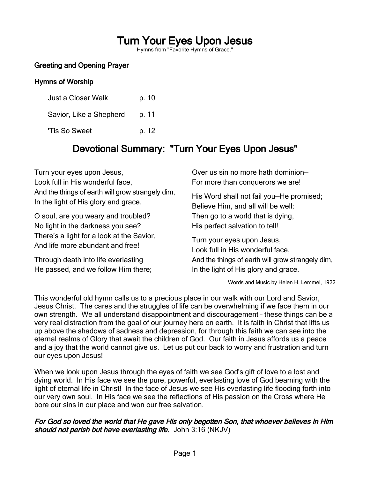# Turn Your Eyes Upon Jesus

Hymns from "Favorite Hymns of Grace."

# Greeting and Opening Prayer

#### Hymns of Worship

| Just a Closer Walk      | p. 10 |
|-------------------------|-------|
| Savior, Like a Shepherd | p. 11 |
| 'Tis So Sweet           | p. 12 |

# Devotional Summary: "Turn Your Eyes Upon Jesus"

Turn your eyes upon Jesus, Look full in His wonderful face, And the things of earth will grow strangely dim, In the light of His glory and grace.

O soul, are you weary and troubled? No light in the darkness you see? There's a light for a look at the Savior, And life more abundant and free!

Through death into life everlasting He passed, and we follow Him there; Over us sin no more hath dominion— For more than conquerors we are!

His Word shall not fail you—He promised; Believe Him, and all will be well: Then go to a world that is dying, His perfect salvation to tell!

Turn your eyes upon Jesus, Look full in His wonderful face, And the things of earth will grow strangely dim, In the light of His glory and grace.

Words and Music by Helen H. Lemmel, 1922

This wonderful old hymn calls us to a precious place in our walk with our Lord and Savior, Jesus Christ. The cares and the struggles of life can be overwhelming if we face them in our own strength. We all understand disappointment and discouragement – these things can be a very real distraction from the goal of our journey here on earth. It is faith in Christ that lifts us up above the shadows of sadness and depression, for through this faith we can see into the eternal realms of Glory that await the children of God. Our faith in Jesus affords us a peace and a joy that the world cannot give us. Let us put our back to worry and frustration and turn our eyes upon Jesus!

When we look upon Jesus through the eyes of faith we see God's gift of love to a lost and dying world. In His face we see the pure, powerful, everlasting love of God beaming with the light of eternal life in Christ! In the face of Jesus we see His everlasting life flooding forth into our very own soul. In His face we see the reflections of His passion on the Cross where He bore our sins in our place and won our free salvation.

#### For God so loved the world that He gave His only begotten Son, that whoever believes in Him should not perish but have everlasting life. John 3:16 (NKJV)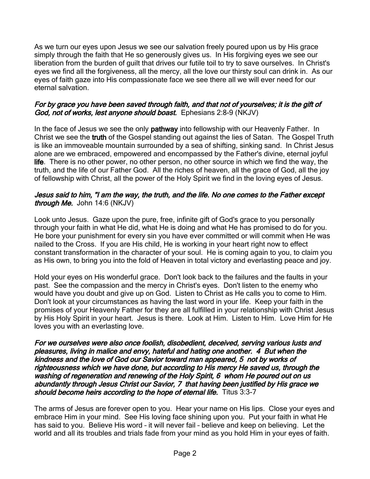As we turn our eyes upon Jesus we see our salvation freely poured upon us by His grace simply through the faith that He so generously gives us. In His forgiving eyes we see our liberation from the burden of guilt that drives our futile toil to try to save ourselves. In Christ's eyes we find all the forgiveness, all the mercy, all the love our thirsty soul can drink in. As our eyes of faith gaze into His compassionate face we see there all we will ever need for our eternal salvation.

#### For by grace you have been saved through faith, and that not of yourselves; it is the gift of God, not of works, lest anyone should boast. Ephesians 2:8-9 (NKJV)

In the face of Jesus we see the only **pathway** into fellowship with our Heavenly Father. In Christ we see the truth of the Gospel standing out against the lies of Satan. The Gospel Truth is like an immoveable mountain surrounded by a sea of shifting, sinking sand. In Christ Jesus alone are we embraced, empowered and encompassed by the Father's divine, eternal joyful life. There is no other power, no other person, no other source in which we find the way, the truth, and the life of our Father God. All the riches of heaven, all the grace of God, all the joy of fellowship with Christ, all the power of the Holy Spirit we find in the loving eyes of Jesus.

#### Jesus said to him, "I am the way, the truth, and the life. No one comes to the Father except through Me. John 14:6 (NKJV)

Look unto Jesus. Gaze upon the pure, free, infinite gift of God's grace to you personally through your faith in what He did, what He is doing and what He has promised to do for you. He bore your punishment for every sin you have ever committed or will commit when He was nailed to the Cross. If you are His child, He is working in your heart right now to effect constant transformation in the character of your soul. He is coming again to you, to claim you as His own, to bring you into the fold of Heaven in total victory and everlasting peace and joy.

Hold your eyes on His wonderful grace. Don't look back to the failures and the faults in your past. See the compassion and the mercy in Christ's eyes. Don't listen to the enemy who would have you doubt and give up on God. Listen to Christ as He calls you to come to Him. Don't look at your circumstances as having the last word in your life. Keep your faith in the promises of your Heavenly Father for they are all fulfilled in your relationship with Christ Jesus by His Holy Spirit in your heart. Jesus is there. Look at Him. Listen to Him. Love Him for He loves you with an everlasting love.

For we ourselves were also once foolish, disobedient, deceived, serving various lusts and pleasures, living in malice and envy, hateful and hating one another. 4 But when the kindness and the love of God our Savior toward man appeared, 5 not by works of righteousness which we have done, but according to His mercy He saved us, through the washing of regeneration and renewing of the Holy Spirit, 6 whom He poured out on us abundantly through Jesus Christ our Savior, 7 that having been justified by His grace we should become heirs according to the hope of eternal life. Titus 3:3-7

The arms of Jesus are forever open to you. Hear your name on His lips. Close your eyes and embrace Him in your mind. See His loving face shining upon you. Put your faith in what He has said to you. Believe His word – it will never fail – believe and keep on believing. Let the world and all its troubles and trials fade from your mind as you hold Him in your eyes of faith.